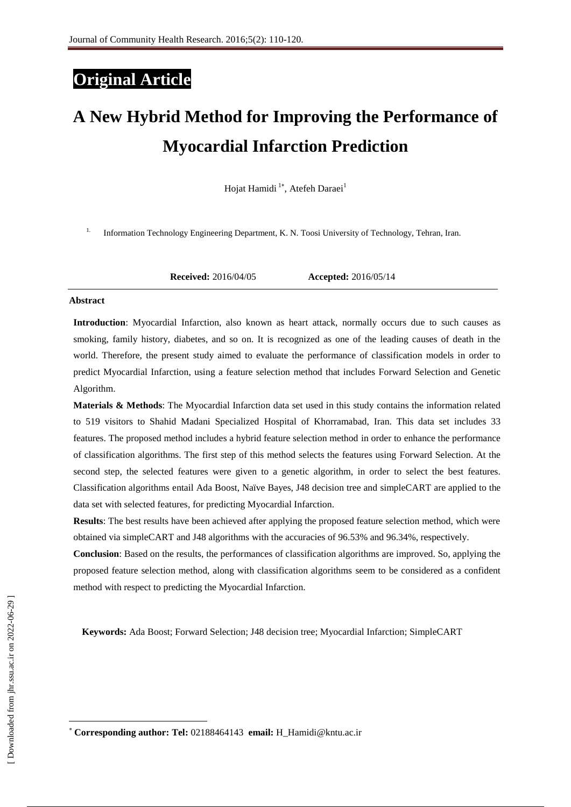# **Original Article**

# **A New Hybrid Method for Improving the Performance of Myocardial Infarction Prediction**

Hojat Hamidi<sup>1\*</sup>, Atefeh Daraei<sup>1</sup>

1. Information Technology Engineering Department, K. N. Toosi University of Technology, Tehran, Iran.

**Received:** 2016/04/05 **Accepted:** 2016/05/14

#### **Abstract**

**Introduction**: Myocardial Infarction, also known as heart attack, normally occurs due to such causes as smoking, family history, diabetes, and so on. It is recognized as one of the leading causes of death in the world. Therefore, the present study aimed to evaluate the performance of classification models in order to predict Myocardial Infarction, using a feature selection method that includes Forward Selection and Genetic Algorithm.

**Materials & Methods**: The Myocardial Infarction data set used in this study contains the information related to 519 visitors to Shahid Madani Specialized Hospital of Khorramabad, Iran. This data set includes 33 features. The proposed method includes a hybrid feature selection method in order to enhance the performance of classification algorithms. The first step of this method selects the features using Forward Selection. At the second step, the selected features were given to a genetic algorithm, in order to select the best features. Classification algorithms entail Ada Boost, Naïve Bayes, J48 decision tree and simpleCART are applied to the data set with selected features, for predicting Myocardial Infarction.

**Results**: The best results have been achieved after applying the proposed feature selection method, which were obtained via simpleCART and J48 algorithms with the accuracies of 96.53% and 96.34%, respectively.

**Conclusion**: Based on the results, the performances of classification algorithms are improved. So, applying the proposed feature selection method, along with classification algorithms seem to be considered as a confident method with respect to predicting the Myocardial Infarction.

**Keywords:** Ada Boost; Forward Selection; J48 decision tree; Myocardial Infarction; SimpleCART

**.** 

**Corresponding author: Tel:** 02188464143 **email:** [H\\_Hamidi@kntu.ac.ir](mailto:H_Hamidi@kntu.ac.ir)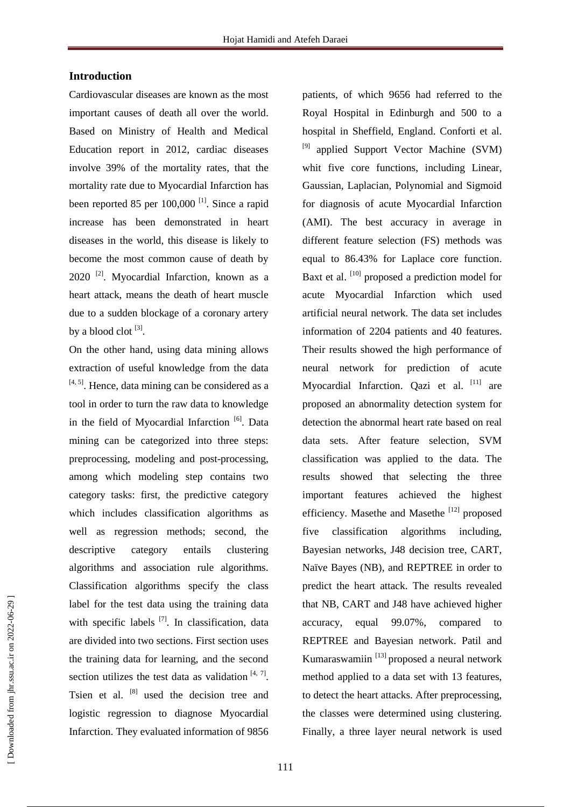# **Introduction**

Cardiovascular diseases are known as the most important causes of death all over the world. Based on Ministry of Health and Medical Education report in 2012, cardiac diseases involve 39% of the mortality rates, that the mortality rate due to Myocardial Infarction has been reported 85 per  $100,000$ <sup>[1]</sup>. Since a rapid increase has been demonstrated in heart diseases in the world, this disease is likely to become the most common cause of death by 2020<sup>[2]</sup>. Myocardial Infarction, known as a heart attack, means the death of heart muscle due to a sudden blockage of a coronary artery by a blood clot  $^{[3]}$ .

On the other hand, using data mining allows extraction of useful knowledge from the data  $[4, 5]$ . Hence, data mining can be considered as a tool in order to turn the raw data to knowledge in the field of Myocardial Infarction<sup>[6]</sup>. Data mining can be categorized into three steps: preprocessing, modeling and post-processing, among which modeling step contains two category tasks: first, the predictive category which includes classification algorithms as well as regression methods; second, the descriptive category entails clustering algorithms and association rule algorithms. Classification algorithms specify the class label for the test data using the training data with specific labels [7]. In classification, data are divided into two sections. First section uses the training data for learning, and the second section utilizes the test data as validation  $[4, 7]$ . Tsien et al. <sup>[8]</sup> used the decision tree and logistic regression to diagnose Myocardial Infarction. They evaluated information of 9856

patients, of which 9656 had referred to the Royal Hospital in Edinburgh and 500 to a hospital in Sheffield, England. Conforti et al. <sup>[9]</sup> applied Support Vector Machine (SVM) whit five core functions, including Linear, Gaussian, Laplacian, Polynomial and Sigmoid for diagnosis of acute Myocardial Infarction (AMI). The best accuracy in average in different feature selection (FS) methods was equal to 86.43% for Laplace core function. Baxt et al. [10] proposed a prediction model for acute Myocardial Infarction which used artificial neural network. The data set includes information of 2204 patients and 40 features. Their results showed the high performance of neural network for prediction of acute Myocardial Infarction. Qazi et al. [11] are proposed an abnormality detection system for detection the abnormal heart rate based on real data sets. After feature selection, SVM classification was applied to the data. The results showed that selecting the three important features achieved the highest efficiency. Masethe and Masethe<sup>[12]</sup> proposed five classification algorithms including, Bayesian networks, J48 decision tree, CART, Naïve Bayes (NB), and REPTREE in order to predict the heart attack. The results revealed that NB, CART and J48 have achieved higher accuracy, equal 99.07%, compared to REPTREE and Bayesian network. Patil and Kumaraswamiin <a>[13]</a> proposed a neural network method applied to a data set with 13 features, to detect the heart attacks. After preprocessing, the classes were determined using clustering. Finally, a three layer neural network is used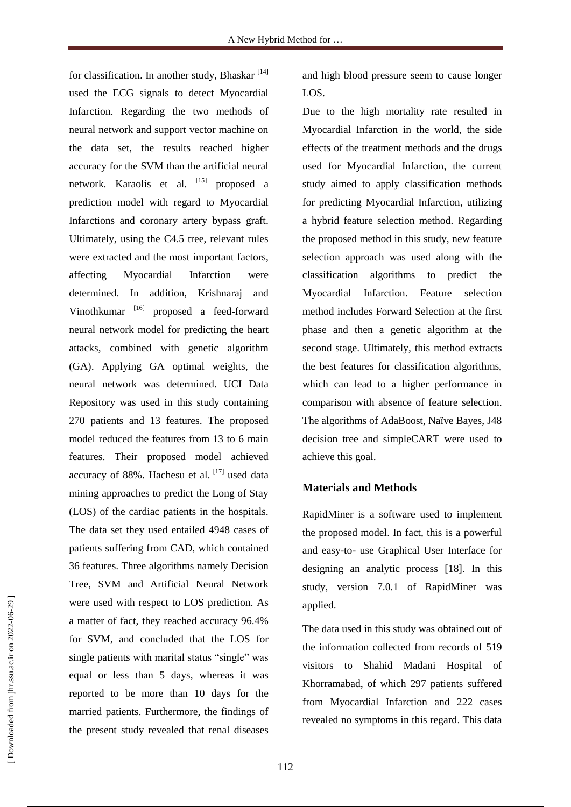for classification. In another study, Bhaskar<sup>[14]</sup> used the ECG signals to detect Myocardial Infarction. Regarding the two methods of neural network and support vector machine on the data set, the results reached higher accuracy for the SVM than the artificial neural network. Karaolis et al. [15] proposed a prediction model with regard to Myocardial Infarctions and coronary artery bypass graft. Ultimately, using the C4.5 tree, relevant rules were extracted and the most important factors, affecting Myocardial Infarction were determined. In addition, Krishnaraj and Vinothkumar [16] proposed a feed-forward neural network model for predicting the heart attacks, combined with genetic algorithm (GA). Applying GA optimal weights, the neural network was determined. UCI Data Repository was used in this study containing 270 patients and 13 features. The proposed model reduced the features from 13 to 6 main features. Their proposed model achieved accuracy of 88%. Hachesu et al. [17] used data mining approaches to predict the Long of Stay (LOS) of the cardiac patients in the hospitals. The data set they used entailed 4948 cases of patients suffering from CAD, which contained 36 features. Three algorithms namely Decision Tree, SVM and Artificial Neural Network were used with respect to LOS prediction. As a matter of fact, they reached accuracy 96.4% for SVM, and concluded that the LOS for single patients with marital status "single" was equal or less than 5 days, whereas it was reported to be more than 10 days for the married patients. Furthermore, the findings of the present study revealed that renal diseases

and high blood pressure seem to cause longer LOS.

Due to the high mortality rate resulted in Myocardial Infarction in the world, the side effects of the treatment methods and the drugs used for Myocardial Infarction, the current study aimed to apply classification methods for predicting Myocardial Infarction, utilizing a hybrid feature selection method. Regarding the proposed method in this study, new feature selection approach was used along with the classification algorithms to predict the Myocardial Infarction. Feature selection method includes Forward Selection at the first phase and then a genetic algorithm at the second stage. Ultimately, this method extracts the best features for classification algorithms, which can lead to a higher performance in comparison with absence of feature selection. The algorithms of AdaBoost, Naïve Bayes, J48 decision tree and simpleCART were used to achieve this goal.

# **Materials and Methods**

RapidMiner is a software used to implement the proposed model. In fact, this is a powerful and easy-to- use Graphical User Interface for designing an analytic process [18]. In this study, version 7.0.1 of RapidMiner was applied.

The data used in this study was obtained out of the information collected from records of 519 visitors to Shahid Madani Hospital of Khorramabad, of which 297 patients suffered from Myocardial Infarction and 222 cases revealed no symptoms in this regard. This data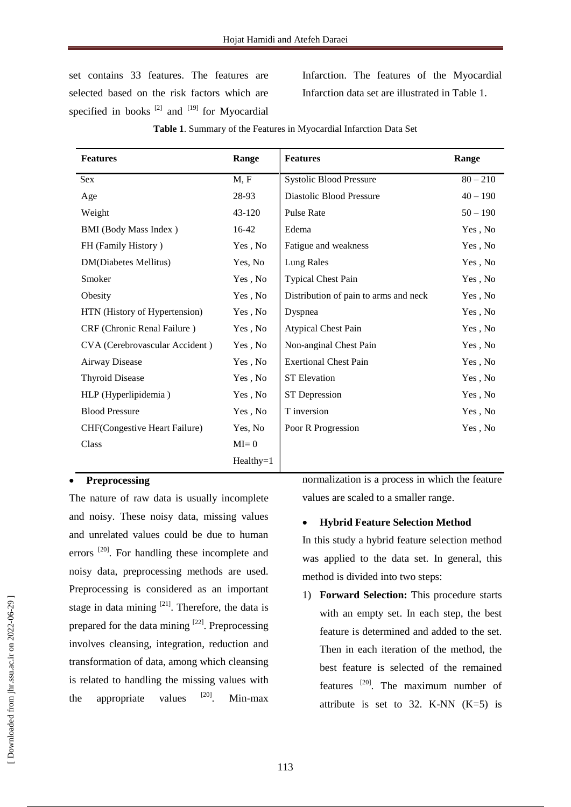set contains 33 features. The features are selected based on the risk factors which are specified in books  $^{[2]}$  and  $^{[19]}$  for Myocardial Infarction. The features of the Myocardial Infarction data set are illustrated in Table 1.

| <b>Features</b>                      | Range     | <b>Features</b>                       | Range      |
|--------------------------------------|-----------|---------------------------------------|------------|
| Sex                                  | M, F      | <b>Systolic Blood Pressure</b>        | $80 - 210$ |
| Age                                  | 28-93     | Diastolic Blood Pressure              | $40 - 190$ |
| Weight                               | 43-120    | Pulse Rate                            | $50 - 190$ |
| <b>BMI</b> (Body Mass Index)         | 16-42     | Edema                                 | Yes, No    |
| FH (Family History)                  | Yes, No   | Fatigue and weakness                  | Yes, No    |
| <b>DM</b> (Diabetes Mellitus)        | Yes, No   | Lung Rales                            | Yes, No    |
| Smoker                               | Yes, No   | <b>Typical Chest Pain</b>             | Yes, No    |
| Obesity                              | Yes, No   | Distribution of pain to arms and neck | Yes, No    |
| HTN (History of Hypertension)        | Yes , No  | Dyspnea                               | Yes, No    |
| CRF (Chronic Renal Failure)          | Yes, No   | <b>Atypical Chest Pain</b>            | Yes , No   |
| CVA (Cerebrovascular Accident)       | Yes, No   | Non-anginal Chest Pain                | Yes , No   |
| Airway Disease                       | Yes, No   | <b>Exertional Chest Pain</b>          | Yes, No    |
| <b>Thyroid Disease</b>               | Yes, No   | <b>ST</b> Elevation                   | Yes, No    |
| HLP (Hyperlipidemia)                 | Yes, No   | ST Depression                         | Yes, No    |
| <b>Blood Pressure</b>                | Yes, No   | T inversion                           | Yes, No    |
| <b>CHF(Congestive Heart Failure)</b> | Yes, No   | Poor R Progression                    | Yes, No    |
| Class                                | $MI = 0$  |                                       |            |
|                                      | Healthy=1 |                                       |            |

**Table 1**. Summary of the Features in Myocardial Infarction Data Set

# **Preprocessing**

The nature of raw data is usually incomplete and noisy. These noisy data, missing values and unrelated values could be due to human errors  $^{[20]}$ . For handling these incomplete and noisy data, preprocessing methods are used. Preprocessing is considered as an important stage in data mining  $[21]$ . Therefore, the data is prepared for the data mining  $^{[22]}$ . Preprocessing involves cleansing, integration, reduction and transformation of data, among which cleansing is related to handling the missing values with the appropriate values  $[20]$ . . Min-max

normalization is a process in which the feature values are scaled to a smaller range.

#### **Hybrid Feature Selection Method**

In this study a hybrid feature selection method was applied to the data set. In general, this method is divided into two steps:

1) **Forward Selection:** This procedure starts with an empty set. In each step, the best feature is determined and added to the set. Then in each iteration of the method, the best feature is selected of the remained features <sup>[20]</sup>. The maximum number of attribute is set to 32. K-NN  $(K=5)$  is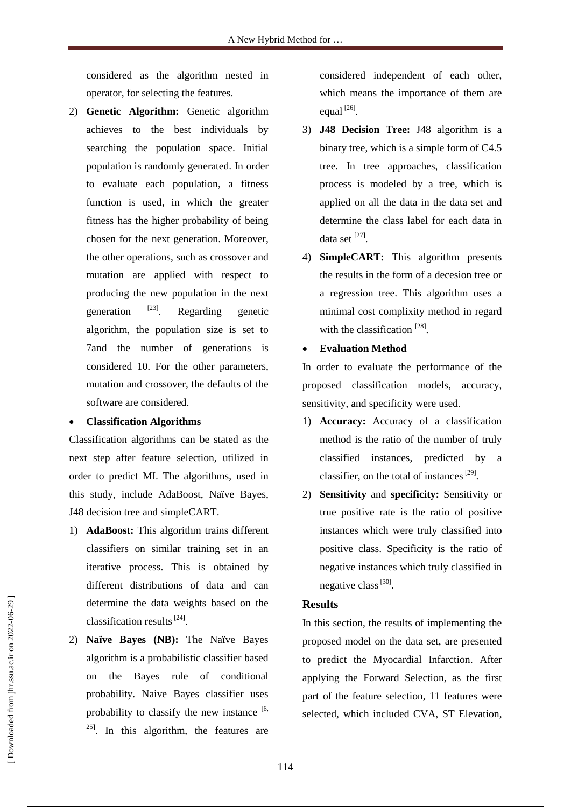considered as the algorithm nested in operator, for selecting the features.

2) **Genetic Algorithm:** Genetic algorithm achieves to the best individuals by searching the population space. Initial population is randomly generated. In order to evaluate each population, a fitness function is used, in which the greater fitness has the higher probability of being chosen for the next generation. Moreover, the other operations, such as crossover and mutation are applied with respect to producing the new population in the next generation  $[23]$ Regarding genetic algorithm, the population size is set to 7and the number of generations is considered 10. For the other parameters, mutation and crossover, the defaults of the software are considered.

#### **Classification Algorithms**

Classification algorithms can be stated as the next step after feature selection, utilized in order to predict MI. The algorithms, used in this study, include AdaBoost, Naïve Bayes, J48 decision tree and simpleCART.

- 1) **AdaBoost:** This algorithm trains different classifiers on similar training set in an iterative process. This is obtained by different distributions of data and can determine the data weights based on the classification results  $^{[24]}$ .
- 2) **Naïve Bayes (NB):** The Naïve Bayes algorithm is a probabilistic classifier based on the Bayes rule of conditional probability. Naive Bayes classifier uses probability to classify the new instance  $[6, 6]$ <sup>25]</sup>. In this algorithm, the features are

considered independent of each other, which means the importance of them are equal  $^{[26]}$ .

- 3) **J48 Decision Tree:** J48 algorithm is a binary tree, which is a simple form of C4.5 tree. In tree approaches, classification process is modeled by a tree, which is applied on all the data in the data set and determine the class label for each data in data set  $^{[27]}$ .
- 4) **SimpleCART:** This algorithm presents the results in the form of a decesion tree or a regression tree. This algorithm uses a minimal cost complixity method in regard with the classification <sup>[28]</sup>.
- **Evaluation Method**

In order to evaluate the performance of the proposed classification models, accuracy, sensitivity, and specificity were used.

- 1) **Accuracy:** Accuracy of a classification method is the ratio of the number of truly classified instances, predicted by a classifier, on the total of instances  $^{[29]}$ .
- 2) **Sensitivity** and **specificity:** Sensitivity or true positive rate is the ratio of positive instances which were truly classified into positive class. Specificity is the ratio of negative instances which truly classified in negative class<sup>[30]</sup>.

## **Results**

In this section, the results of implementing the proposed model on the data set, are presented to predict the Myocardial Infarction. After applying the Forward Selection, as the first part of the feature selection, 11 features were selected, which included CVA, ST Elevation,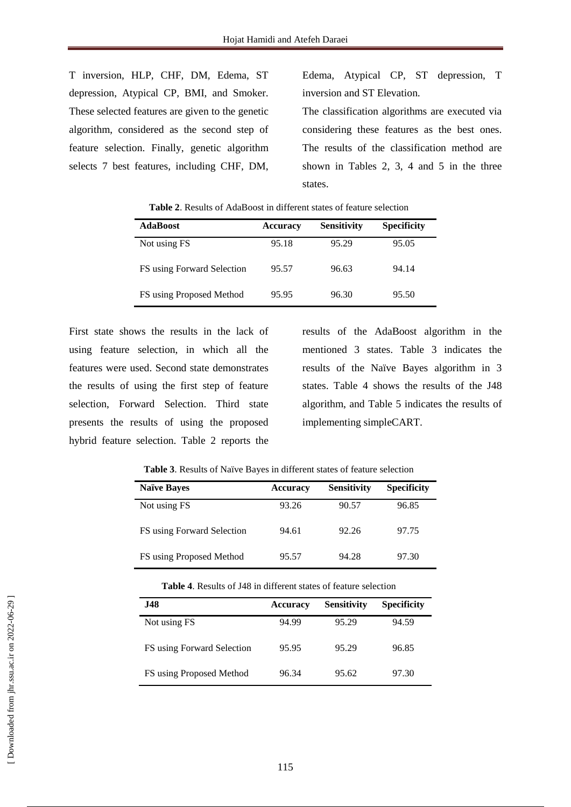T inversion, HLP, CHF, DM, Edema, ST depression, Atypical CP, BMI, and Smoker. These selected features are given to the genetic algorithm, considered as the second step of feature selection. Finally, genetic algorithm selects 7 best features, including CHF, DM, Edema, Atypical CP, ST depression, T inversion and ST Elevation.

The classification algorithms are executed via considering these features as the best ones. The results of the classification method are shown in Tables 2, 3, 4 and 5 in the three states.

| <b>AdaBoost</b>            | <b>Accuracy</b> | <b>Sensitivity</b> | <b>Specificity</b> |
|----------------------------|-----------------|--------------------|--------------------|
| Not using FS               | 95.18           | 95.29              | 95.05              |
| FS using Forward Selection | 95.57           | 96.63              | 94.14              |
| FS using Proposed Method   | 95.95           | 96.30              | 95.50              |

**Table 2**. Results of AdaBoost in different states of feature selection

First state shows the results in the lack of using feature selection, in which all the features were used. Second state demonstrates the results of using the first step of feature selection, Forward Selection. Third state presents the results of using the proposed hybrid feature selection. Table 2 reports the results of the AdaBoost algorithm in the mentioned 3 states. Table 3 indicates the results of the Naïve Bayes algorithm in 3 states. Table 4 shows the results of the J48 algorithm, and Table 5 indicates the results of implementing simpleCART.

**Table 3**. Results of Naïve Bayes in different states of feature selection

| <b>Naïve Bayes</b>         | <b>Accuracy</b> | <b>Sensitivity</b> | <b>Specificity</b> |
|----------------------------|-----------------|--------------------|--------------------|
| Not using FS               | 93.26           | 90.57              | 96.85              |
| FS using Forward Selection | 94.61           | 92.26              | 97.75              |
| FS using Proposed Method   | 95.57           | 94.28              | 97.30              |

**Table 4**. Results of J48 in different states of feature selection

| J48                        | <b>Accuracy</b> | <b>Sensitivity</b> | <b>Specificity</b> |
|----------------------------|-----------------|--------------------|--------------------|
| Not using FS               | 94.99           | 95.29              | 94.59              |
| FS using Forward Selection | 95.95           | 95.29              | 96.85              |
| FS using Proposed Method   | 96.34           | 95.62              | 97.30              |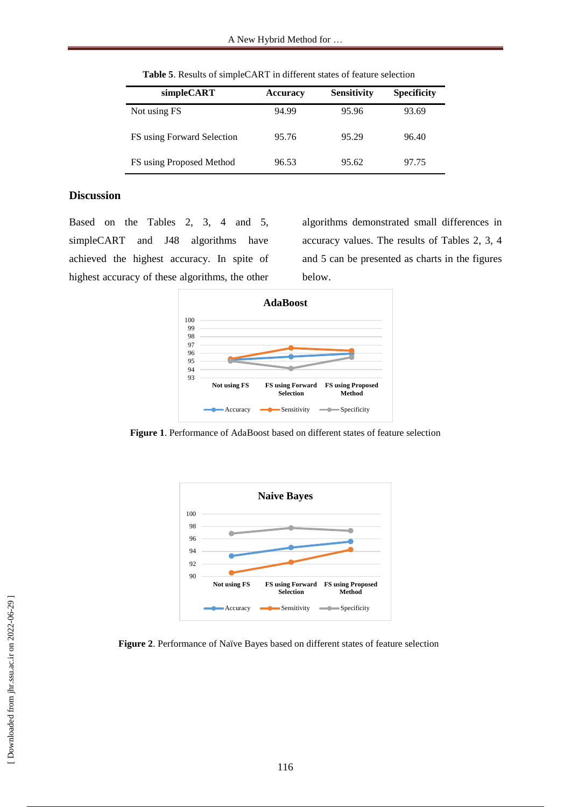| simpleCART                 | <b>Accuracy</b> | <b>Sensitivity</b> | <b>Specificity</b> |
|----------------------------|-----------------|--------------------|--------------------|
| Not using FS               | 94.99           | 95.96              | 93.69              |
| FS using Forward Selection | 95.76           | 95.29              | 96.40              |
| FS using Proposed Method   | 96.53           | 95.62              | 97.75              |

**Table 5**. Results of simpleCART in different states of feature selection

# **Discussion**

Based on the Tables 2, 3, 4 and 5, simpleCART and J48 algorithms have achieved the highest accuracy. In spite of highest accuracy of these algorithms, the other algorithms demonstrated small differences in accuracy values. The results of Tables 2, 3, 4 and 5 can be presented as charts in the figures below.



**Figure 1**. Performance of AdaBoost based on different states of feature selection



**Figure 2**. Performance of Naïve Bayes based on different states of feature selection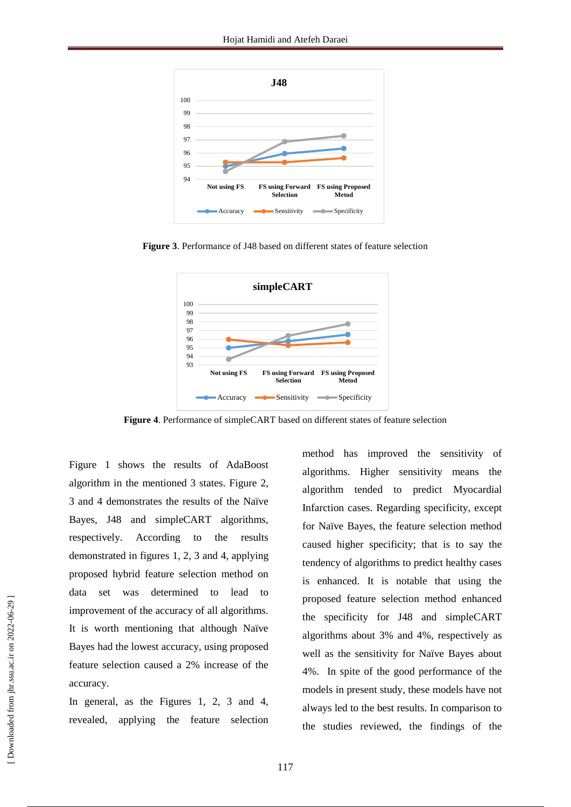

**Figure 3**. Performance of J48 based on different states of feature selection



**Figure 4**. Performance of simpleCART based on different states of feature selection

Figure 1 shows the results of AdaBoost algorithm in the mentioned 3 states. Figure 2, 3 and 4 demonstrates the results of the Naïve Bayes, J48 and simpleCART algorithms, respectively. According to the results demonstrated in figures 1, 2, 3 and 4, applying proposed hybrid feature selection method on data set was determined to lead to improvement of the accuracy of all algorithms. It is worth mentioning that although Naïve Bayes had the lowest accuracy, using proposed feature selection caused a 2% increase of the accuracy.

In general, as the Figures 1, 2, 3 and 4, revealed, applying the feature selection method has improved the sensitivity of algorithms. Higher sensitivity means the algorithm tended to predict Myocardial Infarction cases. Regarding specificity, except for Naïve Bayes, the feature selection method caused higher specificity; that is to say the tendency of algorithms to predict healthy cases is enhanced. It is notable that using the proposed feature selection method enhanced the specificity for J48 and simpleCART algorithms about 3% and 4%, respectively as well as the sensitivity for Naïve Bayes about 4%. In spite of the good performance of the models in present study, these models have not always led to the best results. In comparison to the studies reviewed, the findings of the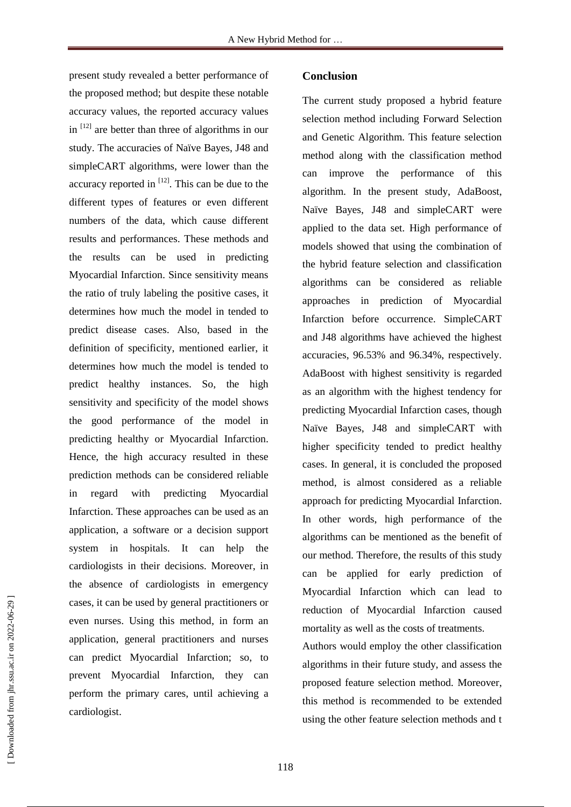present study revealed a better performance of the proposed method; but despite these notable accuracy values, the reported accuracy values in  $[12]$  are better than three of algorithms in our study. The accuracies of Naïve Bayes, J48 and simpleCART algorithms, were lower than the accuracy reported in  $[12]$ . This can be due to the different types of features or even different numbers of the data, which cause different results and performances. These methods and the results can be used in predicting Myocardial Infarction. Since sensitivity means the ratio of truly labeling the positive cases, it determines how much the model in tended to predict disease cases. Also, based in the definition of specificity, mentioned earlier, it determines how much the model is tended to predict healthy instances. So, the high sensitivity and specificity of the model shows the good performance of the model in predicting healthy or Myocardial Infarction. Hence, the high accuracy resulted in these prediction methods can be considered reliable in regard with predicting Myocardial Infarction. These approaches can be used as an application, a software or a decision support system in hospitals. It can help the cardiologists in their decisions. Moreover, in the absence of cardiologists in emergency cases, it can be used by general practitioners or even nurses. Using this method, in form an application, general practitioners and nurses can predict Myocardial Infarction; so, to prevent Myocardial Infarction, they can perform the primary cares, until achieving a cardiologist.

# **Conclusion**

The current study proposed a hybrid feature selection method including Forward Selection and Genetic Algorithm. This feature selection method along with the classification method can improve the performance of this algorithm. In the present study, AdaBoost, Naïve Bayes, J48 and simpleCART were applied to the data set. High performance of models showed that using the combination of the hybrid feature selection and classification algorithms can be considered as reliable approaches in prediction of Myocardial Infarction before occurrence. SimpleCART and J48 algorithms have achieved the highest accuracies, 96.53% and 96.34%, respectively. AdaBoost with highest sensitivity is regarded as an algorithm with the highest tendency for predicting Myocardial Infarction cases, though Naïve Bayes, J48 and simpleCART with higher specificity tended to predict healthy cases. In general, it is concluded the proposed method, is almost considered as a reliable approach for predicting Myocardial Infarction. In other words, high performance of the algorithms can be mentioned as the benefit of our method. Therefore, the results of this study can be applied for early prediction of Myocardial Infarction which can lead to reduction of Myocardial Infarction caused mortality as well as the costs of treatments.

Authors would employ the other classification algorithms in their future study, and assess the proposed feature selection method. Moreover, this method is recommended to be extended using the other feature selection methods and t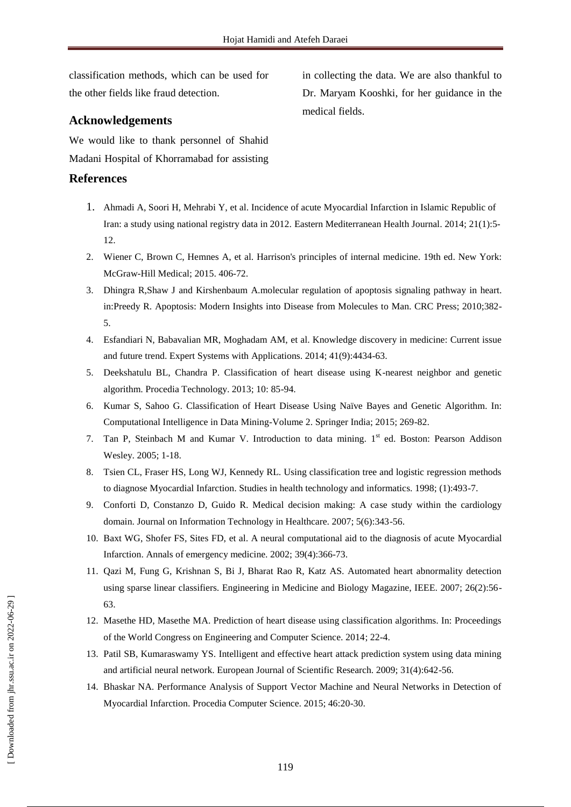classification methods, which can be used for the other fields like fraud detection.

# **Acknowledgements**

We would like to thank personnel of Shahid Madani Hospital of Khorramabad for assisting

# **References**

- 1. Ahmadi A, Soori H, Mehrabi Y, et al. Incidence of acute Myocardial Infarction in Islamic Republic of Iran: a study using national registry data in 2012. Eastern Mediterranean Health Journal. 2014; 21(1):5- 12.
- 2. Wiener C, Brown C, Hemnes A, et al. Harrison's principles of internal medicine. 19th ed. New York: McGraw-Hill Medical; 2015. 406-72.
- 3. Dhingra R,Shaw J and Kirshenbaum A.molecular regulation of apoptosis signaling pathway in heart. in:Preedy R. Apoptosis: Modern Insights into Disease from Molecules to Man. CRC Press; 2010;382- 5.
- 4. Esfandiari N, Babavalian MR, Moghadam AM, et al. Knowledge discovery in medicine: Current issue and future trend. Expert Systems with Applications. 2014; 41(9):4434-63.
- 5. Deekshatulu BL, Chandra P. Classification of heart disease using K-nearest neighbor and genetic algorithm. Procedia Technology. 2013; 10: 85-94.
- 6. Kumar S, Sahoo G. Classification of Heart Disease Using Naïve Bayes and Genetic Algorithm. In: Computational Intelligence in Data Mining-Volume 2. Springer India; 2015; 269-82.
- 7. Tan P, Steinbach M and Kumar V. Introduction to data mining. 1<sup>st</sup> ed. Boston: Pearson Addison Wesley. 2005; 1-18.
- 8. Tsien CL, Fraser HS, Long WJ, Kennedy RL. Using classification tree and logistic regression methods to diagnose Myocardial Infarction. Studies in health technology and informatics. 1998; (1):493-7.
- 9. Conforti D, Constanzo D, Guido R. Medical decision making: A case study within the cardiology domain. Journal on Information Technology in Healthcare. 2007; 5(6):343-56.
- 10. Baxt WG, Shofer FS, Sites FD, et al. A neural computational aid to the diagnosis of acute Myocardial Infarction. Annals of emergency medicine. 2002; 39(4):366-73.
- 11. Qazi M, Fung G, Krishnan S, Bi J, Bharat Rao R, Katz AS. Automated heart abnormality detection using sparse linear classifiers. Engineering in Medicine and Biology Magazine, IEEE. 2007; 26(2):56- 63.
- 12. Masethe HD, Masethe MA. Prediction of heart disease using classification algorithms. In: Proceedings of the World Congress on Engineering and Computer Science. 2014; 22-4.
- 13. Patil SB, Kumaraswamy YS. Intelligent and effective heart attack prediction system using data mining and artificial neural network. European Journal of Scientific Research. 2009; 31(4):642-56.
- 14. Bhaskar NA. Performance Analysis of Support Vector Machine and Neural Networks in Detection of Myocardial Infarction. Procedia Computer Science. 2015; 46:20-30.